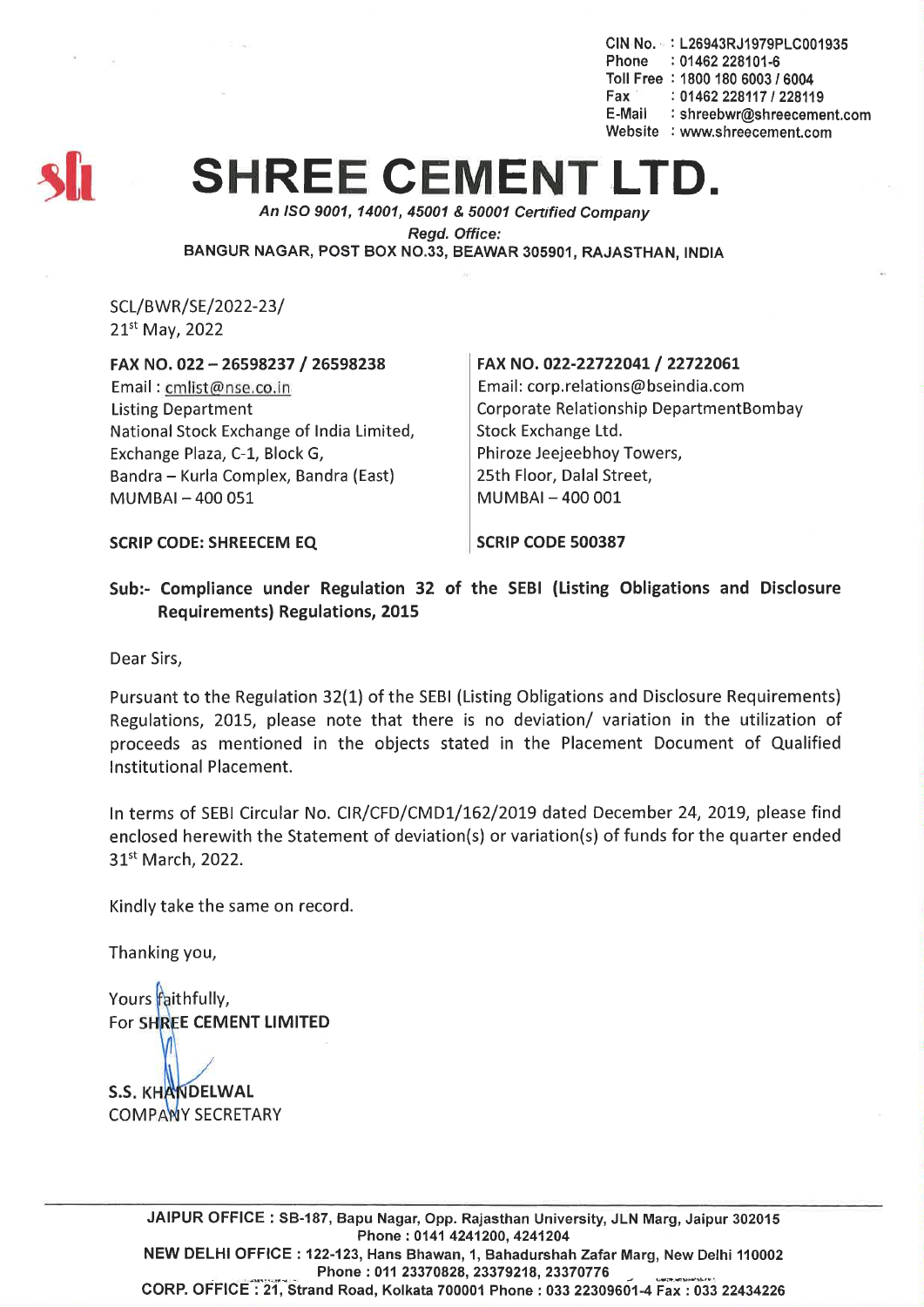CIN No.· : L26943RJ1979PLC001935 Phone : 01462 228101-6 Toll Free : 1800 180 6003 *I 6004* Fax : *01462228117/228119* E-Mail : shreebwr@shreecement.com Website : www.shreecement.com



## **SHREE CEMENT**

*An ISO 9001,14001,45001* & *50001 Cenified Company*

*Regd. Office:*

BANGUR NAGAR, POST BOX NO.33, BEAWAR 305901, RAJASTHAN, INDIA

SCL/BWR/SE/2022-23/ 21st May, 2022

## FAX NO. 022 - 26598237 / 26598238

Email: cmlist@nse.co.in Listing Department National Stock Exchange of India Limited, Exchange Plaza, C-1, Block G, Bandra - Kurla Complex, Bandra (East) MUMBAI-400051

## FAX NO. 022-22722041/ 22722061

Email: corp.relations@bseindia.com Corporate Relationship DepartmentBombay Stock Exchange Ltd. Phiroze Jeejeebhoy Towers, 25th Floor, Dalal Street, MUMBAI-400001

SCRIP CODE: SHREECEM EQ SCRIP CODE 500387

Sub:- Compliance under Regulation 32 of the SEBI (Listing Obligations and Disclosure Requirements) Regulations, 2015

Dear Sirs,

Pursuant to the Regulation 32(1) of the SEBI (Listing Obligations and Disclosure Requirements) Regulations, 2015, please note that there is no deviation/ variation in the utilization of proceeds as mentioned in the objects stated in the Placement Document of Qualified Institutional Placement.

In terms of SEBI Circular No. CIR/CFD/CMD1/162/2019 dated December 24, 2019, please find enclosed herewith the Statement of deviation{s) or variation{s) of funds for the quarter ended 31<sup>st</sup> March, 2022.

Kindly take the same on record.

Thanking you,

Yours faithfully, For SHREE CEMENT LIMITED

**S.S. KHANDELWAL COMPANY SECRETARY** 

> JAIPUR OFFICE: 5B-187, Bapu Nagar, Opp. Rajasthan University, JLN Marg, Jaipur 302015 Phone: 0141 4241200, 4241204 NEW DELHI OFFICE: 122-123, Hans Bhawan, 1, Bahadurshah Zafar Marg, New Delhi 110002 Phone: 011 23370828, 23379218, 23370776 CORP. OFFICE: 21, Strand Road, Kolkata 700001 Phone: 033 22309601-4 Fax: 033 22434226